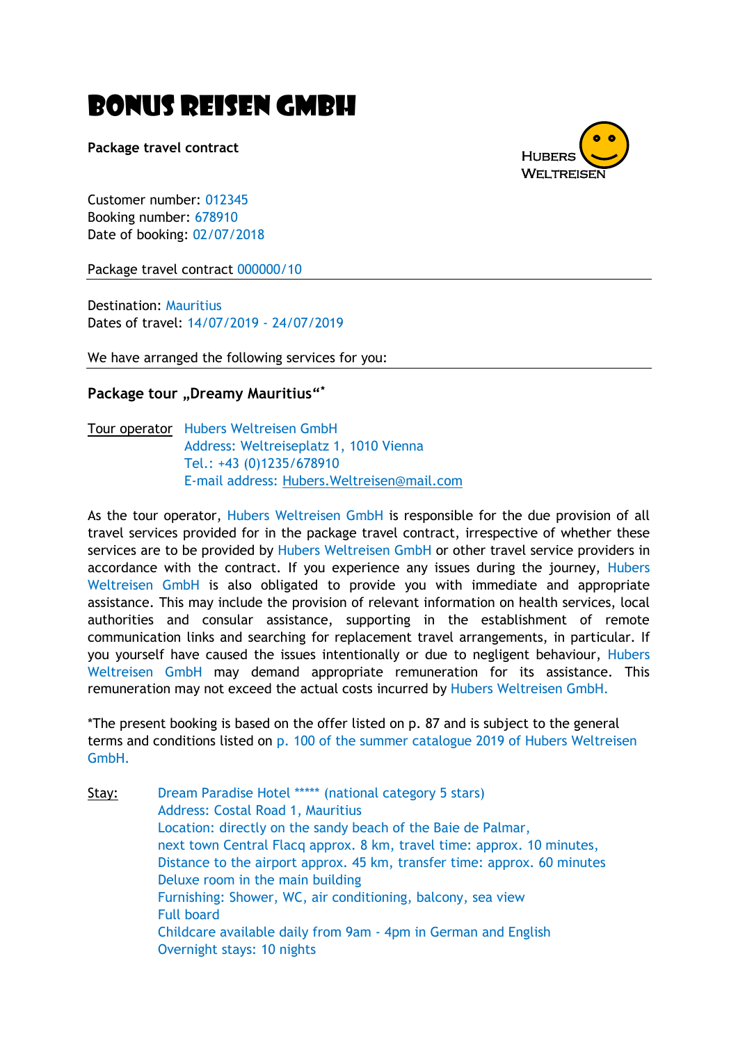# Bonus Reisen GmbH

**Package travel contract**



Customer number: 012345 Booking number: 678910 Date of booking: 02/07/2018

Package travel contract 000000/10

Destination: Mauritius Dates of travel: 14/07/2019 - 24/07/2019

We have arranged the following services for you:

## **Package tour "Dreamy Mauritius"<sup>\*</sup>**

Tour operator Hubers Weltreisen GmbH Address: Weltreiseplatz 1, 1010 Vienna Tel.: +43 (0)1235/678910 E-mail address: [Hubers.Weltreisen@mail.com](mailto:Hubers.Weltreisen@mail.com)

As the tour operator, Hubers Weltreisen GmbH is responsible for the due provision of all travel services provided for in the package travel contract, irrespective of whether these services are to be provided by Hubers Weltreisen GmbH or other travel service providers in accordance with the contract. If you experience any issues during the journey, Hubers Weltreisen GmbH is also obligated to provide you with immediate and appropriate assistance. This may include the provision of relevant information on health services, local authorities and consular assistance, supporting in the establishment of remote communication links and searching for replacement travel arrangements, in particular. If you yourself have caused the issues intentionally or due to negligent behaviour, Hubers Weltreisen GmbH may demand appropriate remuneration for its assistance. This remuneration may not exceed the actual costs incurred by Hubers Weltreisen GmbH.

\*The present booking is based on the offer listed on p. 87 and is subject to the general terms and conditions listed on p. 100 of the summer catalogue 2019 of Hubers Weltreisen GmbH.

Stay: Dream Paradise Hotel \*\*\*\*\* (national category 5 stars) Address: Costal Road 1, Mauritius Location: directly on the sandy beach of the Baie de Palmar, next town Central Flacq approx. 8 km, travel time: approx. 10 minutes, Distance to the airport approx. 45 km, transfer time: approx. 60 minutes Deluxe room in the main building Furnishing: Shower, WC, air conditioning, balcony, sea view Full board Childcare available daily from 9am - 4pm in German and English Overnight stays: 10 nights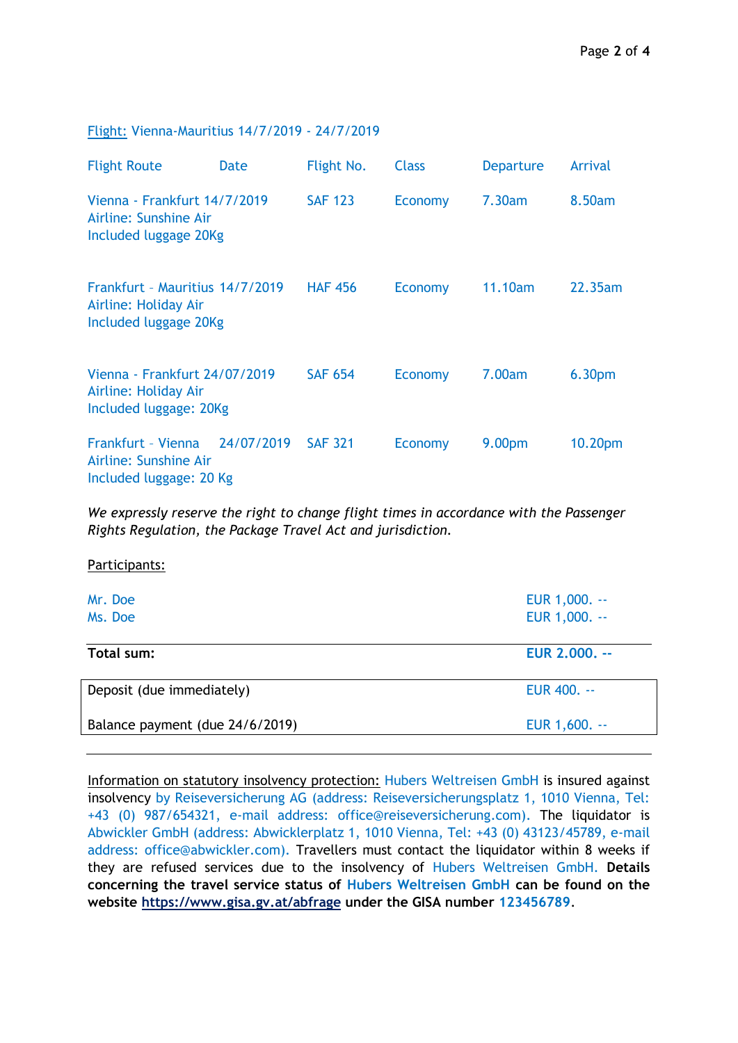#### Flight: Vienna-Mauritius 14/7/2019 - 24/7/2019

| <b>Flight Route</b>                                                              | <b>Date</b> | Flight No.     | <b>Class</b>   | <b>Departure</b>   | Arrival             |
|----------------------------------------------------------------------------------|-------------|----------------|----------------|--------------------|---------------------|
| Vienna - Frankfurt 14/7/2019<br>Airline: Sunshine Air<br>Included luggage 20Kg   |             | <b>SAF 123</b> | Economy        | 7.30am             | 8.50am              |
| Frankfurt - Mauritius 14/7/2019<br>Airline: Holiday Air<br>Included luggage 20Kg |             | <b>HAF 456</b> | <b>Economy</b> | 11.10am            | 22.35am             |
| Vienna - Frankfurt 24/07/2019<br>Airline: Holiday Air<br>Included luggage: 20Kg  |             | <b>SAF 654</b> | Economy        | 7.00am             | 6.30 <sub>pm</sub>  |
| Frankfurt - Vienna<br>Airline: Sunshine Air<br>Included luggage: 20 Kg           | 24/07/2019  | <b>SAF 321</b> | Economy        | 9.00 <sub>pm</sub> | 10.20 <sub>pm</sub> |

*We expressly reserve the right to change flight times in accordance with the Passenger Rights Regulation, the Package Travel Act and jurisdiction.*

Participants:

| Mr. Doe<br>Ms. Doe              | EUR 1,000. --<br>EUR 1,000. -- |
|---------------------------------|--------------------------------|
| Total sum:                      | EUR 2,000. --                  |
| Deposit (due immediately)       | EUR 400. --                    |
| Balance payment (due 24/6/2019) | EUR 1,600. --                  |

Information on statutory insolvency protection: Hubers Weltreisen GmbH is insured against insolvency by Reiseversicherung AG (address: Reiseversicherungsplatz 1, 1010 Vienna, Tel: +43 (0) 987/654321, e-mail address: office@reiseversicherung.com). The liquidator is Abwickler GmbH (address: Abwicklerplatz 1, 1010 Vienna, Tel: +43 (0) 43123/45789, e-mail address: office@abwickler.com). Travellers must contact the liquidator within 8 weeks if they are refused services due to the insolvency of Hubers Weltreisen GmbH. **Details concerning the travel service status of Hubers Weltreisen GmbH can be found on the website <https://www.gisa.gv.at/abfrage> under the GISA number 123456789**.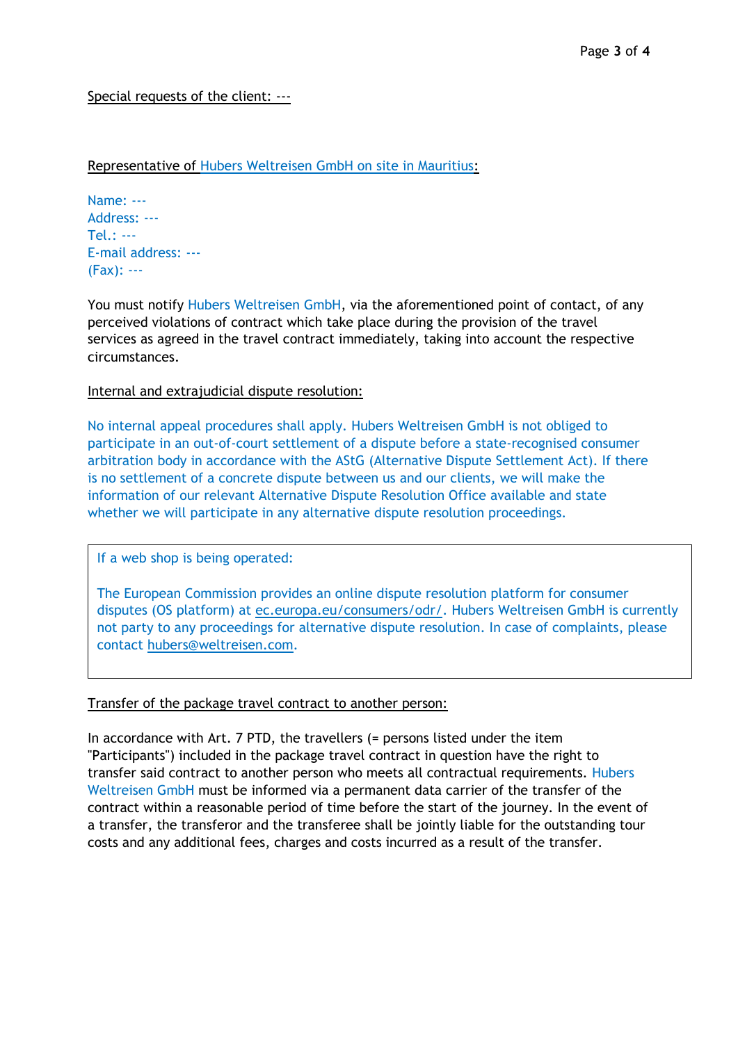## Special requests of the client: ---

## Representative of Hubers Weltreisen GmbH on site in Mauritius:

Name: --- Address: --- Tel.: --- E-mail address: --- (Fax): ---

You must notify Hubers Weltreisen GmbH, via the aforementioned point of contact, of any perceived violations of contract which take place during the provision of the travel services as agreed in the travel contract immediately, taking into account the respective circumstances.

## Internal and extrajudicial dispute resolution:

No internal appeal procedures shall apply. Hubers Weltreisen GmbH is not obliged to participate in an out-of-court settlement of a dispute before a state-recognised consumer arbitration body in accordance with the AStG (Alternative Dispute Settlement Act). If there is no settlement of a concrete dispute between us and our clients, we will make the information of our relevant Alternative Dispute Resolution Office available and state whether we will participate in any alternative dispute resolution proceedings.

#### If a web shop is being operated:

The European Commission provides an online dispute resolution platform for consumer disputes (OS platform) at [ec.europa.eu/consumers/odr/.](http://ec.europa.eu/consumers/odr/) Hubers Weltreisen GmbH is currently not party to any proceedings for alternative dispute resolution. In case of complaints, please contact [hubers@weltreisen.com.](mailto:hubers@weltreisen.com)

#### Transfer of the package travel contract to another person:

In accordance with Art. 7 PTD, the travellers (= persons listed under the item "Participants") included in the package travel contract in question have the right to transfer said contract to another person who meets all contractual requirements. Hubers Weltreisen GmbH must be informed via a permanent data carrier of the transfer of the contract within a reasonable period of time before the start of the journey. In the event of a transfer, the transferor and the transferee shall be jointly liable for the outstanding tour costs and any additional fees, charges and costs incurred as a result of the transfer.